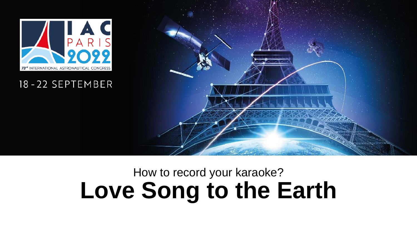

#### 18-22 SEPTEMBER



# How to record your karaoke? **Love Song to the Earth**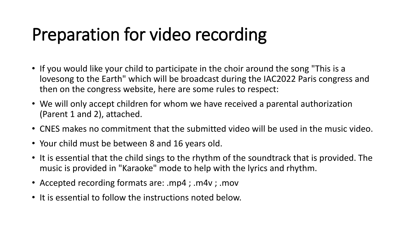# Preparation for video recording

- If you would like your child to participate in the choir around the song "This is a lovesong to the Earth" which will be broadcast during the IAC2022 Paris congress and then on the congress website, here are some rules to respect:
- We will only accept children for whom we have received a parental authorization (Parent 1 and 2), attached.
- CNES makes no commitment that the submitted video will be used in the music video.
- Your child must be between 8 and 16 years old.
- It is essential that the child sings to the rhythm of the soundtrack that is provided. The music is provided in "Karaoke" mode to help with the lyrics and rhythm.
- Accepted recording formats are: .mp4 ; .m4v ; .mov
- It is essential to follow the instructions noted below.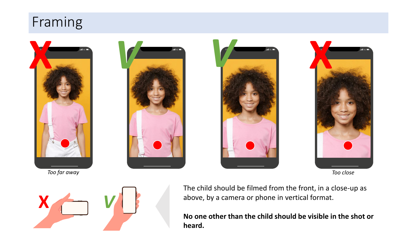### Framing













The child should be filmed from the front, in a close-up as above, by a camera or phone in vertical format.

**No one other than the child should be visible in the shot or heard.**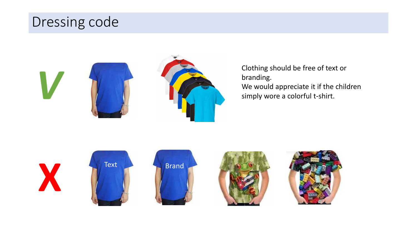## Dressing code



Clothing should be free of text or branding. We would appreciate it if the children simply wore a colorful t-shirt.









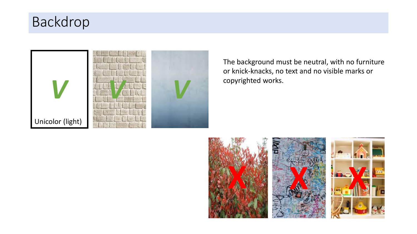# Backdrop



The background must be neutral, with no furniture or knick-knacks, no text and no visible marks or copyrighted works.

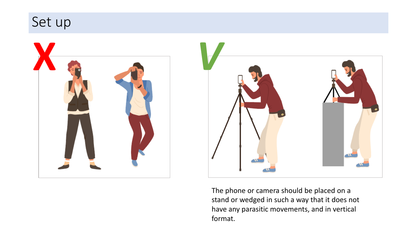



The phone or camera should be placed on a stand or wedged in such a way that it does not have any parasitic movements, and in vertical format.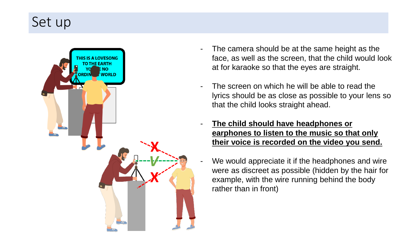## Set up



- The camera should be at the same height as the face, as well as the screen, that the child would look at for karaoke so that the eyes are straight.
- The screen on which he will be able to read the lyrics should be as close as possible to your lens so that the child looks straight ahead.
- **The child should have headphones or earphones to listen to the music so that only their voice is recorded on the video you send.**
- We would appreciate it if the headphones and wire were as discreet as possible (hidden by the hair for example, with the wire running behind the body rather than in front)